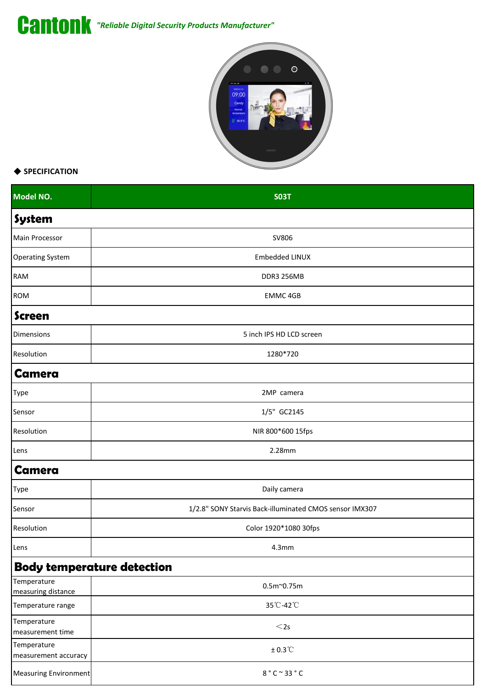*"Reliable Digital Security Products Manufacturer"*



## ◆ **SPECIFICATION**

| Model NO.                           | <b>SO3T</b>                                             |  |
|-------------------------------------|---------------------------------------------------------|--|
| System                              |                                                         |  |
| Main Processor                      | SV806                                                   |  |
| <b>Operating System</b>             | Embedded LINUX                                          |  |
| RAM                                 | DDR3 256MB                                              |  |
| ROM                                 | EMMC 4GB                                                |  |
| <b>Screen</b>                       |                                                         |  |
| Dimensions                          | 5 inch IPS HD LCD screen                                |  |
| Resolution                          | 1280*720                                                |  |
| <b>Camera</b>                       |                                                         |  |
| Type                                | 2MP camera                                              |  |
| Sensor                              | 1/5" GC2145                                             |  |
| Resolution                          | NIR 800*600 15fps                                       |  |
| Lens                                | 2.28mm                                                  |  |
| <b>Camera</b>                       |                                                         |  |
| Type                                | Daily camera                                            |  |
| Sensor                              | 1/2.8" SONY Starvis Back-illuminated CMOS sensor IMX307 |  |
| Resolution                          | Color 1920*1080 30fps                                   |  |
| Lens                                | 4.3 <sub>mm</sub>                                       |  |
|                                     | <b>Body temperature detection</b>                       |  |
| Temperature<br>measuring distance   | $0.5m^{\sim}0.75m$                                      |  |
| Temperature range                   | 35°C-42°C                                               |  |
| Temperature<br>measurement time     | $<$ 2s                                                  |  |
| Temperature<br>measurement accuracy | $\pm$ 0.3 $^\circ\!{\rm C}$                             |  |
| <b>Measuring Environment</b>        | 8 °C ~ 33 °C                                            |  |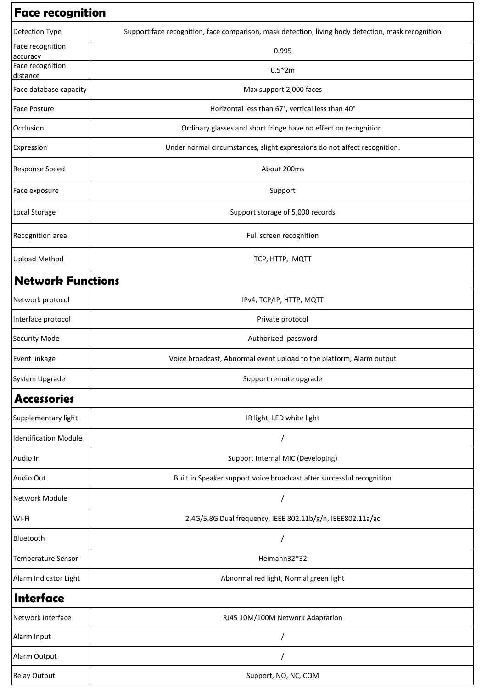| <b>Face recognition</b>      |                                                                                                    |  |
|------------------------------|----------------------------------------------------------------------------------------------------|--|
| Detection Type               | Support face recognition, face comparison, mask detection, living body detection, mask recognition |  |
| Face recognition<br>accuracy | 0.995                                                                                              |  |
| Face recognition<br>distance | $0.5^{\sim}2m$                                                                                     |  |
| Face database capacity       | Max support 2,000 faces                                                                            |  |
| <b>Face Posture</b>          | Horizontal less than 67°, vertical less than 40°                                                   |  |
| Occlusion                    | Ordinary glasses and short fringe have no effect on recognition.                                   |  |
| Expression                   | Under normal circumstances, slight expressions do not affect recognition.                          |  |
| <b>Response Speed</b>        | About 200ms                                                                                        |  |
| Face exposure                | Support                                                                                            |  |
| Local Storage                | Support storage of 5,000 records                                                                   |  |
| Recognition area             | Full screen recognition                                                                            |  |
| <b>Upload Method</b>         | TCP, HTTP, MQTT                                                                                    |  |
| <b>Network Functions</b>     |                                                                                                    |  |
| Network protocol             | IPv4, TCP/IP, HTTP, MQTT                                                                           |  |
| Interface protocol           | Private protocol                                                                                   |  |
| <b>Security Mode</b>         | Authorized password                                                                                |  |
| Event linkage                | Voice broadcast, Abnormal event upload to the platform, Alarm output                               |  |
| System Upgrade               | Support remote upgrade                                                                             |  |
| <b>Accessories</b>           |                                                                                                    |  |
| Supplementary light          | IR light, LED white light                                                                          |  |
| <b>Identification Module</b> |                                                                                                    |  |
| Audio In                     | Support Internal MIC (Developing)                                                                  |  |
| Audio Out                    | Built in Speaker support voice broadcast after successful recognition                              |  |
| Network Module               |                                                                                                    |  |
| Wi-Fi                        | 2.4G/5.8G Dual frequency, IEEE 802.11b/g/n, IEEE802.11a/ac                                         |  |
| Bluetooth                    |                                                                                                    |  |
| Temperature Sensor           | Heimann32*32                                                                                       |  |
| Alarm Indicator Light        | Abnormal red light, Normal green light                                                             |  |
| Interface                    |                                                                                                    |  |
| Network Interface            | RJ45 10M/100M Network Adaptation                                                                   |  |
| Alarm Input                  |                                                                                                    |  |
| Alarm Output                 |                                                                                                    |  |
| <b>Relay Output</b>          | Support, NO, NC, COM                                                                               |  |